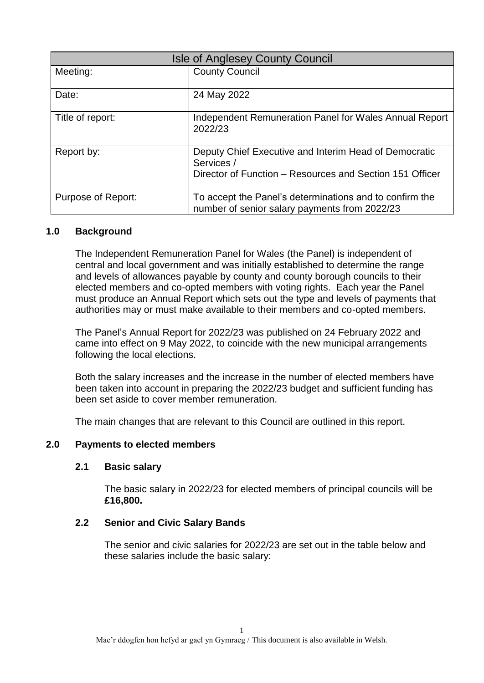| <b>Isle of Anglesey County Council</b> |                                                                                                                                 |  |
|----------------------------------------|---------------------------------------------------------------------------------------------------------------------------------|--|
| Meeting:                               | <b>County Council</b>                                                                                                           |  |
| Date:                                  | 24 May 2022                                                                                                                     |  |
| Title of report:                       | Independent Remuneration Panel for Wales Annual Report<br>2022/23                                                               |  |
| Report by:                             | Deputy Chief Executive and Interim Head of Democratic<br>Services /<br>Director of Function – Resources and Section 151 Officer |  |
| Purpose of Report:                     | To accept the Panel's determinations and to confirm the<br>number of senior salary payments from 2022/23                        |  |

### **1.0 Background**

The Independent Remuneration Panel for Wales (the Panel) is independent of central and local government and was initially established to determine the range and levels of allowances payable by county and county borough councils to their elected members and co-opted members with voting rights. Each year the Panel must produce an Annual Report which sets out the type and levels of payments that authorities may or must make available to their members and co-opted members.

The Panel's Annual Report for 2022/23 was published on 24 February 2022 and came into effect on 9 May 2022, to coincide with the new municipal arrangements following the local elections.

Both the salary increases and the increase in the number of elected members have been taken into account in preparing the 2022/23 budget and sufficient funding has been set aside to cover member remuneration.

The main changes that are relevant to this Council are outlined in this report.

# **2.0 Payments to elected members**

#### **2.1 Basic salary**

The basic salary in 2022/23 for elected members of principal councils will be **£16,800.**

# **2.2 Senior and Civic Salary Bands**

The senior and civic salaries for 2022/23 are set out in the table below and these salaries include the basic salary: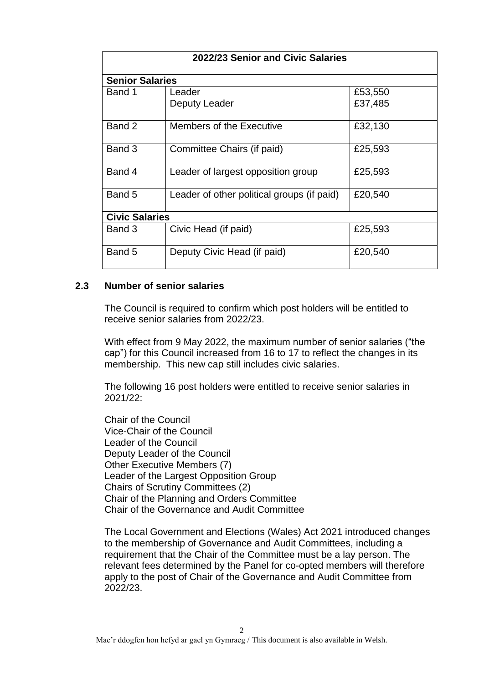| 2022/23 Senior and Civic Salaries |                                            |                    |  |
|-----------------------------------|--------------------------------------------|--------------------|--|
| <b>Senior Salaries</b>            |                                            |                    |  |
| Band 1                            | Leader<br>Deputy Leader                    | £53,550<br>£37,485 |  |
| Band 2                            | Members of the Executive                   | £32,130            |  |
| Band 3                            | Committee Chairs (if paid)                 | £25,593            |  |
| Band 4                            | Leader of largest opposition group         | £25,593            |  |
| Band 5                            | Leader of other political groups (if paid) | £20,540            |  |
| <b>Civic Salaries</b>             |                                            |                    |  |
| Band 3                            | Civic Head (if paid)                       | £25,593            |  |
| Band 5                            | Deputy Civic Head (if paid)                | £20,540            |  |

# **2.3 Number of senior salaries**

The Council is required to confirm which post holders will be entitled to receive senior salaries from 2022/23.

With effect from 9 May 2022, the maximum number of senior salaries ("the cap") for this Council increased from 16 to 17 to reflect the changes in its membership. This new cap still includes civic salaries.

The following 16 post holders were entitled to receive senior salaries in 2021/22:

Chair of the Council Vice-Chair of the Council Leader of the Council Deputy Leader of the Council Other Executive Members (7) Leader of the Largest Opposition Group Chairs of Scrutiny Committees (2) Chair of the Planning and Orders Committee Chair of the Governance and Audit Committee

The Local Government and Elections (Wales) Act 2021 introduced changes to the membership of Governance and Audit Committees, including a requirement that the Chair of the Committee must be a lay person. The relevant fees determined by the Panel for co-opted members will therefore apply to the post of Chair of the Governance and Audit Committee from 2022/23.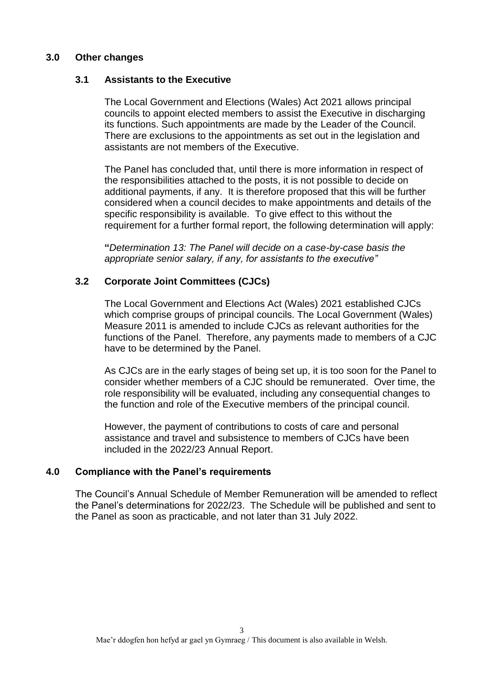# **3.0 Other changes**

### **3.1 Assistants to the Executive**

The Local Government and Elections (Wales) Act 2021 allows principal councils to appoint elected members to assist the Executive in discharging its functions. Such appointments are made by the Leader of the Council. There are exclusions to the appointments as set out in the legislation and assistants are not members of the Executive.

The Panel has concluded that, until there is more information in respect of the responsibilities attached to the posts, it is not possible to decide on additional payments, if any. It is therefore proposed that this will be further considered when a council decides to make appointments and details of the specific responsibility is available. To give effect to this without the requirement for a further formal report, the following determination will apply:

**"***Determination 13: The Panel will decide on a case-by-case basis the appropriate senior salary, if any, for assistants to the executive"*

### **3.2 Corporate Joint Committees (CJCs)**

The Local Government and Elections Act (Wales) 2021 established CJCs which comprise groups of principal councils. The Local Government (Wales) Measure 2011 is amended to include CJCs as relevant authorities for the functions of the Panel. Therefore, any payments made to members of a CJC have to be determined by the Panel.

As CJCs are in the early stages of being set up, it is too soon for the Panel to consider whether members of a CJC should be remunerated. Over time, the role responsibility will be evaluated, including any consequential changes to the function and role of the Executive members of the principal council.

However, the payment of contributions to costs of care and personal assistance and travel and subsistence to members of CJCs have been included in the 2022/23 Annual Report.

# **4.0 Compliance with the Panel's requirements**

The Council's Annual Schedule of Member Remuneration will be amended to reflect the Panel's determinations for 2022/23. The Schedule will be published and sent to the Panel as soon as practicable, and not later than 31 July 2022.